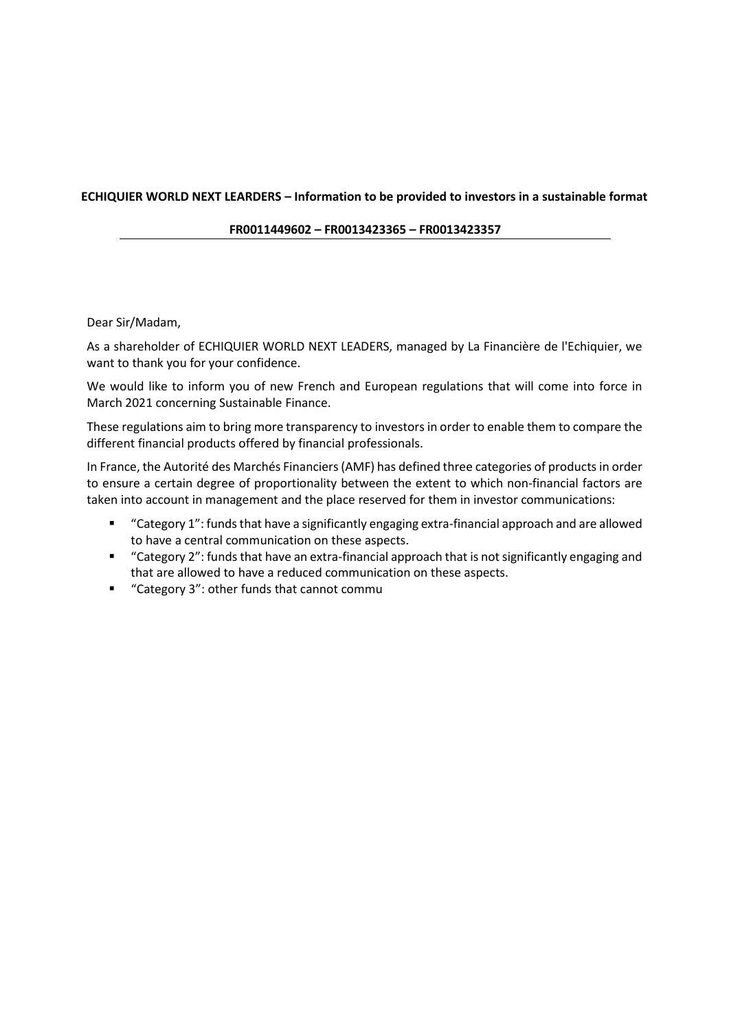## **ECHIQUIER WORLD NEXT LEARDERS – Information to be provided to investors in a sustainable format**

**FR0011449602 – FR0013423365 – FR0013423357**

## Dear Sir/Madam,

As a shareholder of ECHIQUIER WORLD NEXT LEADERS, managed by La Financière de l'Echiquier, we want to thank you for your confidence.

We would like to inform you of new French and European regulations that will come into force in March 2021 concerning Sustainable Finance.

These regulations aim to bring more transparency to investors in order to enable them to compare the different financial products offered by financial professionals.

In France, the Autorité des Marchés Financiers (AMF) has defined three categories of products in order to ensure a certain degree of proportionality between the extent to which non-financial factors are taken into account in management and the place reserved for them in investor communications:

- "Category 1": funds that have a significantly engaging extra-financial approach and are allowed to have a central communication on these aspects.
- "Category 2": funds that have an extra-financial approach that is not significantly engaging and that are allowed to have a reduced communication on these aspects.
- "Category 3": other funds that cannot commu